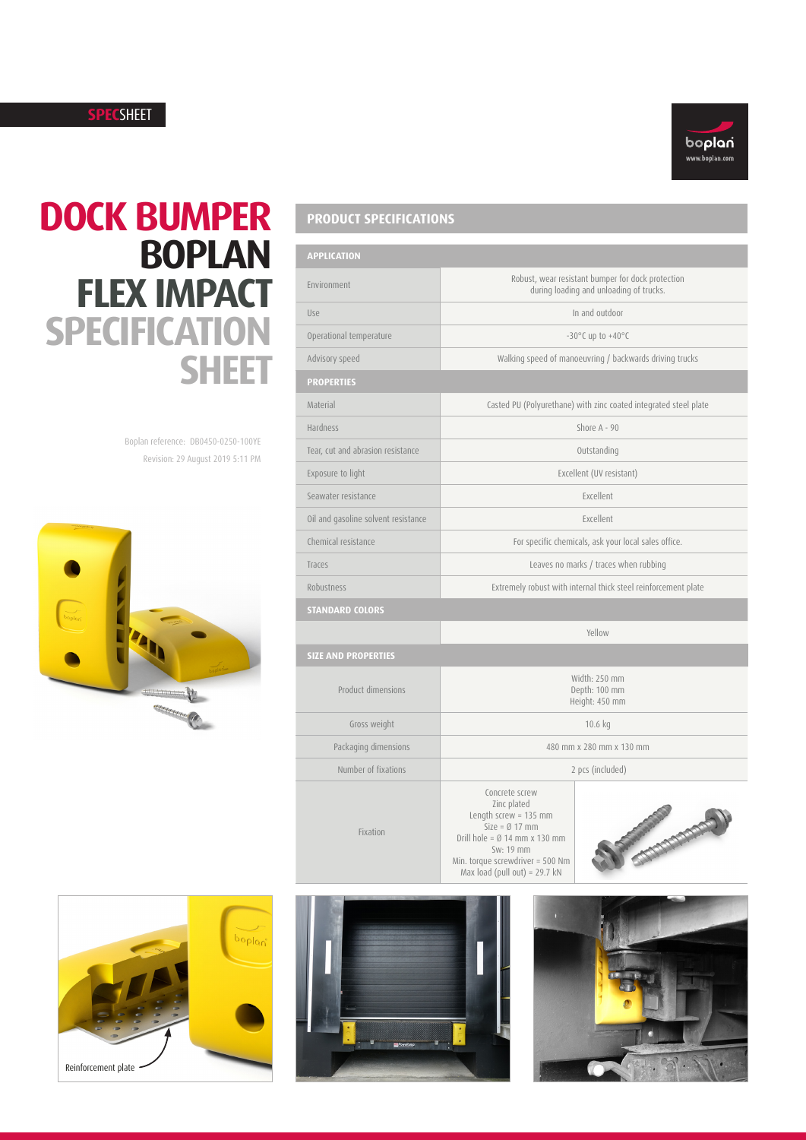## **SPEC**SHEET



## **DOCK BUMPER BOPLAN FLEX IMPACT SPECIFICATION SHEET**

Revision: 29 August 2019 5:11 PM Boplan reference: DB0450-0250-100YE



| <b>APPLICATION</b>                  |                                                                                                                                                                                                        |
|-------------------------------------|--------------------------------------------------------------------------------------------------------------------------------------------------------------------------------------------------------|
| Environment                         | Robust, wear resistant bumper for dock protection<br>during loading and unloading of trucks.                                                                                                           |
| Use                                 | In and outdoor                                                                                                                                                                                         |
| Operational temperature             | $-30^{\circ}$ C up to $+40^{\circ}$ C                                                                                                                                                                  |
| Advisory speed                      | Walking speed of manoeuvring / backwards driving trucks                                                                                                                                                |
| <b>PROPERTIES</b>                   |                                                                                                                                                                                                        |
| Material                            | Casted PU (Polyurethane) with zinc coated integrated steel plate                                                                                                                                       |
| <b>Hardness</b>                     | Shore $A - 90$                                                                                                                                                                                         |
| Tear, cut and abrasion resistance   | Outstanding                                                                                                                                                                                            |
| Exposure to light                   | Excellent (UV resistant)                                                                                                                                                                               |
| Seawater resistance                 | Excellent                                                                                                                                                                                              |
| Oil and gasoline solvent resistance | Excellent                                                                                                                                                                                              |
| Chemical resistance                 | For specific chemicals, ask your local sales office.                                                                                                                                                   |
| Traces                              | Leaves no marks / traces when rubbing                                                                                                                                                                  |
| <b>Robustness</b>                   | Extremely robust with internal thick steel reinforcement plate                                                                                                                                         |
| <b>STANDARD COLORS</b>              |                                                                                                                                                                                                        |
|                                     | Yellow                                                                                                                                                                                                 |
| <b>SIZE AND PROPERTIES</b>          |                                                                                                                                                                                                        |
| Product dimensions                  | Width: 250 mm<br>Depth: 100 mm<br>Height: 450 mm                                                                                                                                                       |
| Gross weight                        | 10.6 kg                                                                                                                                                                                                |
| Packaging dimensions                | 480 mm x 280 mm x 130 mm                                                                                                                                                                               |
| Number of fixations                 | 2 pcs (included)                                                                                                                                                                                       |
| Fixation                            | Concrete screw<br>Zinc plated<br>Length screw = $135$ mm<br><b>Programmado</b><br>Size = $\emptyset$ 17 mm<br>Drill hole = $\emptyset$ 14 mm x 130 mm<br>Sw: 19 mm<br>Min. torque screwdriver = 500 Nm |

Sw: 19 mm Min. torque screwdriver = 500 Nm Max load (pull out) = 29.7 kN





**PRODUCT SPECIFICATIONS**